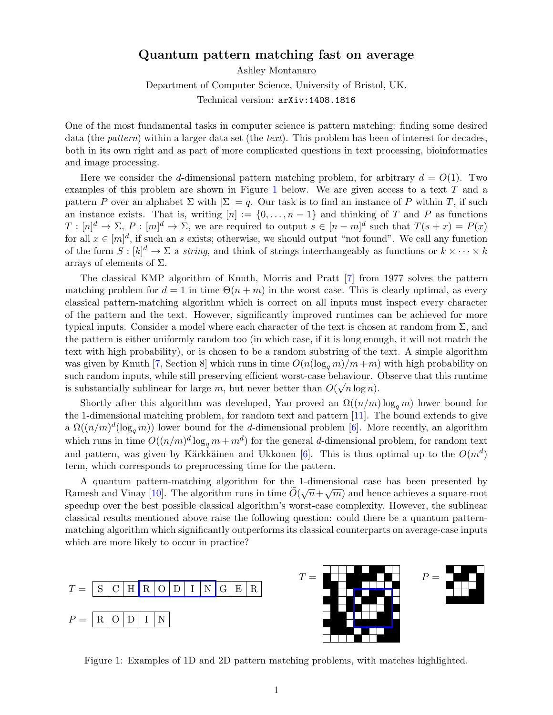## Quantum pattern matching fast on average

Ashley Montanaro

Department of Computer Science, University of Bristol, UK.

Technical version: arXiv:1408.1816

One of the most fundamental tasks in computer science is pattern matching: finding some desired data (the *pattern*) within a larger data set (the *text*). This problem has been of interest for decades, both in its own right and as part of more complicated questions in text processing, bioinformatics and image processing.

Here we consider the d-dimensional pattern matching problem, for arbitrary  $d = O(1)$ . Two examples of this problem are shown in Figure [1](#page-0-0) below. We are given access to a text T and a pattern P over an alphabet  $\Sigma$  with  $|\Sigma| = q$ . Our task is to find an instance of P within T, if such an instance exists. That is, writing  $[n] := \{0, \ldots, n-1\}$  and thinking of T and P as functions  $T: [n]^d \to \Sigma$ ,  $P: [m]^d \to \Sigma$ , we are required to output  $s \in [n-m]^d$  such that  $T(s+x) = P(x)$ for all  $x \in [m]^d$ , if such an s exists; otherwise, we should output "not found". We call any function of the form  $S : [k]^d \to \Sigma$  a *string*, and think of strings interchangeably as functions or  $k \times \cdots \times k$ arrays of elements of  $\Sigma$ .

The classical KMP algorithm of Knuth, Morris and Pratt [\[7\]](#page-3-0) from 1977 solves the pattern matching problem for  $d = 1$  in time  $\Theta(n + m)$  in the worst case. This is clearly optimal, as every classical pattern-matching algorithm which is correct on all inputs must inspect every character of the pattern and the text. However, significantly improved runtimes can be achieved for more typical inputs. Consider a model where each character of the text is chosen at random from  $\Sigma$ , and the pattern is either uniformly random too (in which case, if it is long enough, it will not match the text with high probability), or is chosen to be a random substring of the text. A simple algorithm was given by Knuth [\[7,](#page-3-0) Section 8] which runs in time  $O(n(\log_q m)/m+m)$  with high probability on such random inputs, while still preserving efficient worst-case behaviour. Observe that this runtime is substantially sublinear for large m, but never better than  $O(\sqrt{n \log n})$ .

Shortly after this algorithm was developed, Yao proved an  $\Omega((n/m) \log_q m)$  lower bound for the 1-dimensional matching problem, for random text and pattern [\[11\]](#page-3-1). The bound extends to give a  $\Omega((n/m)^d(\log_q m))$  lower bound for the d-dimensional problem [\[6\]](#page-3-2). More recently, an algorithm which runs in time  $O((n/m)^d \log_q m + m^d)$  for the general d-dimensional problem, for random text and pattern, was given by Kärkkäinen and Ukkonen [\[6\]](#page-3-2). This is thus optimal up to the  $O(m^d)$ term, which corresponds to preprocessing time for the pattern.

A quantum pattern-matching algorithm for the 1-dimensional case has been presented by Ramesh and Vinay [\[10\]](#page-3-3). The algorithm runs in time  $O(\sqrt{n} + \sqrt{m})$  and hence achieves a square-root speedup over the best possible classical algorithm's worst-case complexity. However, the sublinear classical results mentioned above raise the following question: could there be a quantum patternmatching algorithm which significantly outperforms its classical counterparts on average-case inputs which are more likely to occur in practice?





<span id="page-0-0"></span>Figure 1: Examples of 1D and 2D pattern matching problems, with matches highlighted.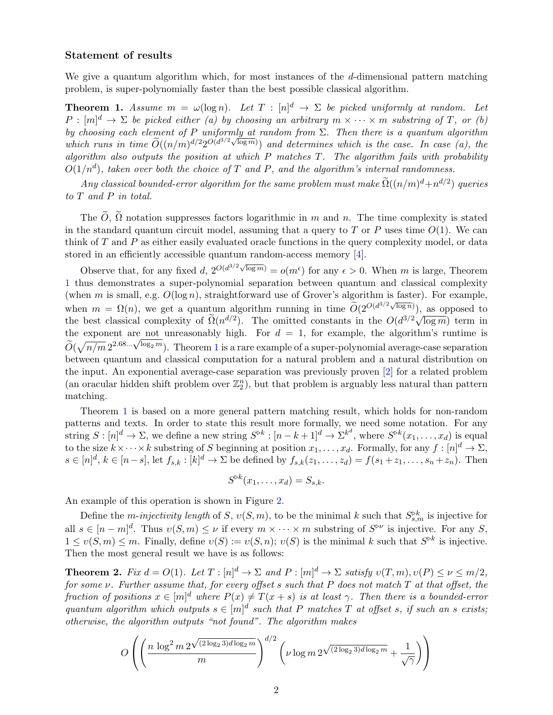## Statement of results

We give a quantum algorithm which, for most instances of the  $d$ -dimensional pattern matching problem, is super-polynomially faster than the best possible classical algorithm.

<span id="page-1-0"></span>**Theorem 1.** Assume  $m = \omega(\log n)$ . Let  $T : [n]^d \rightarrow \Sigma$  be picked uniformly at random. Let  $P : [m]^{d} \to \Sigma$  be picked either (a) by choosing an arbitrary  $m \times \cdots \times m$  substring of T, or (b) by choosing each element of P uniformly at random from  $\Sigma$ . Then there is a quantum algorithm by choosing each element of 1 and of the fundom from  $\Delta$ . Then there is a quantum algorithm<br>which runs in time  $\widetilde{O}((n/m)^{d/2}2^{O(d^{3/2}\sqrt{\log m})})$  and determines which is the case. In case (a), the algorithm also outputs the position at which  $P$  matches  $T$ . The algorithm fails with probability  $O(1/n^d)$ , taken over both the choice of T and P, and the algorithm's internal randomness.

 $Any \ classical \ bounded\-error \ algorithm \ for \ the \ same \ problem \ must \ make \ \widetilde{\Omega}((n/m)^d + n^{d/2}) \ queries$ to T and P in total.

The  $\widetilde{O}$ ,  $\widetilde{\Omega}$  notation suppresses factors logarithmic in m and n. The time complexity is stated in the standard quantum circuit model, assuming that a query to T or P uses time  $O(1)$ . We can think of  $T$  and  $P$  as either easily evaluated oracle functions in the query complexity model, or data stored in an efficiently accessible quantum random-access memory [\[4\]](#page-3-4).

Observe that, for any fixed d,  $2^{O(d^{3/2}\sqrt{\log m})} = o(m^{\epsilon})$  for any  $\epsilon > 0$ . When m is large, Theorem [1](#page-1-0) thus demonstrates a super-polynomial separation between quantum and classical complexity (when m is small, e.g.  $O(\log n)$ , straightforward use of Grover's algorithm is faster). For example, when  $m = \Omega(n)$ , we get a quantum algorithm running in time  $\widetilde{O}(2^{O(d^{3/2}\sqrt{\log n}}))$ , as opposed to when  $m = \Omega(n)$ , we get a quantum algorithm running in time  $O(2 + 10^{3/2})$ , as opposed to the best classical complexity of  $\tilde{\Omega}(n^{d/2})$ . The omitted constants in the  $O(d^{3/2}\sqrt{\log m})$  term in the exponent are not unreasonably high. For  $d = 1$ , for example, the algorithm's runtime is the exponent are not unreasonably high. For  $a = 1$  $a = 1$ , for example, the algorithm's runtime is  $\tilde{O}(\sqrt{n/m} 2^{2.68... \sqrt{\log_2 m}})$ . Theorem 1 is a rare example of a super-polynomial average-case separation between quantum and classical computation for a natural problem and a natural distribution on the input. An exponential average-case separation was previously proven [\[2\]](#page-3-5) for a related problem (an oracular hidden shift problem over  $\mathbb{Z}_2^n$ ), but that problem is arguably less natural than pattern matching.

Theorem [1](#page-1-0) is based on a more general pattern matching result, which holds for non-random patterns and texts. In order to state this result more formally, we need some notation. For any string  $S: [n]^d \to \Sigma$ , we define a new string  $S^{\triangleright k}: [n-k+1]^d \to \Sigma^{k^d}$ , where  $S^{\triangleright k}(x_1, \ldots, x_d)$  is equal to the size  $k \times \cdots \times k$  substring of S beginning at position  $x_1, \ldots, x_d$ . Formally, for any  $f : [n]^d \to \Sigma$ ,  $s \in [n]^d, k \in [n-s], \text{ let } f_{s,k} : [k]^d \to \Sigma \text{ be defined by } f_{s,k}(z_1,\ldots,z_d) = f(s_1+z_1,\ldots,s_n+z_n).$  Then

$$
S^{\triangleright k}(x_1,\ldots,x_d)=S_{s,k}.
$$

An example of this operation is shown in Figure [2.](#page-2-0)

Define the m-injectivity length of S,  $v(S, m)$ , to be the minimal k such that  $S_{s,m}^{\triangleright k}$  is injective for all  $s \in [n-m]^d$ . Thus  $v(S,m) \leq \nu$  if every  $m \times \cdots \times m$  substring of  $S^{\triangleright \nu}$  is injective. For any S,  $1 \le v(S,m) \le m$ . Finally, define  $v(S) := v(S,n)$ ;  $v(S)$  is the minimal k such that  $S^{\triangleright k}$  is injective. Then the most general result we have is as follows:

<span id="page-1-1"></span>**Theorem 2.** Fix  $d = O(1)$ . Let  $T : [n]^d \to \Sigma$  and  $P : [m]^d \to \Sigma$  satisfy  $v(T, m), v(P) \le \nu \le m/2$ , for some  $\nu$ . Further assume that, for every offset s such that P does not match T at that offset, the fraction of positions  $x \in [m]^d$  where  $P(x) \neq T(x + s)$  is at least  $\gamma$ . Then there is a bounded-error quantum algorithm which outputs  $s \in [m]^d$  such that P matches T at offset s, if such an s exists; otherwise, the algorithm outputs "not found". The algorithm makes

$$
O\left( \left(\frac{n \log^2 m \, 2^{\sqrt{(2 \log_2 3) d \log_2 m}}}{m}\right)^{d/2} \left( \nu \log m \, 2^{\sqrt{(2 \log_2 3) d \log_2 m}} + \frac{1}{\sqrt{\gamma}} \right) \right)
$$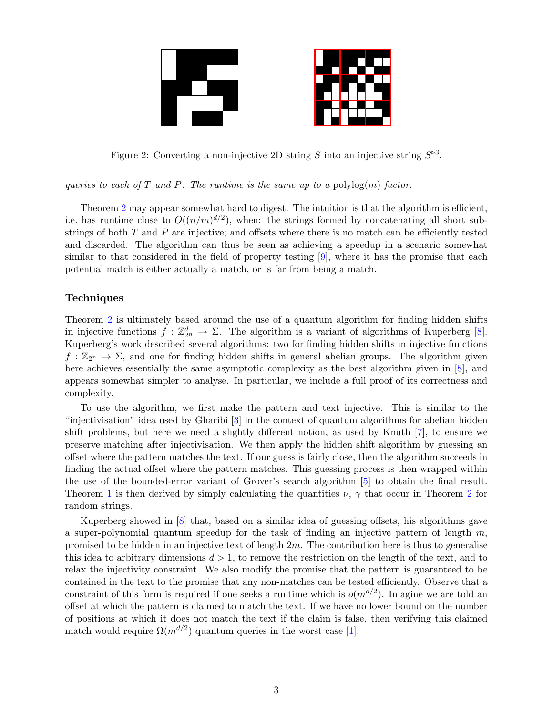

<span id="page-2-0"></span>Figure 2: Converting a non-injective 2D string S into an injective string  $S^{\triangleright 3}$ .

queries to each of T and P. The runtime is the same up to a polylog $(m)$  factor.

Theorem [2](#page-1-1) may appear somewhat hard to digest. The intuition is that the algorithm is efficient, i.e. has runtime close to  $O((n/m)^{d/2})$ , when: the strings formed by concatenating all short substrings of both  $T$  and  $P$  are injective; and offsets where there is no match can be efficiently tested and discarded. The algorithm can thus be seen as achieving a speedup in a scenario somewhat similar to that considered in the field of property testing [\[9\]](#page-3-6), where it has the promise that each potential match is either actually a match, or is far from being a match.

## **Techniques**

Theorem [2](#page-1-1) is ultimately based around the use of a quantum algorithm for finding hidden shifts in injective functions  $f: \mathbb{Z}_{2^n}^d \to \Sigma$ . The algorithm is a variant of algorithms of Kuperberg [\[8\]](#page-3-7). Kuperberg's work described several algorithms: two for finding hidden shifts in injective functions  $f : \mathbb{Z}_{2^n} \to \Sigma$ , and one for finding hidden shifts in general abelian groups. The algorithm given here achieves essentially the same asymptotic complexity as the best algorithm given in [\[8\]](#page-3-7), and appears somewhat simpler to analyse. In particular, we include a full proof of its correctness and complexity.

To use the algorithm, we first make the pattern and text injective. This is similar to the "injectivisation" idea used by Gharibi [\[3\]](#page-3-8) in the context of quantum algorithms for abelian hidden shift problems, but here we need a slightly different notion, as used by Knuth [\[7\]](#page-3-0), to ensure we preserve matching after injectivisation. We then apply the hidden shift algorithm by guessing an offset where the pattern matches the text. If our guess is fairly close, then the algorithm succeeds in finding the actual offset where the pattern matches. This guessing process is then wrapped within the use of the bounded-error variant of Grover's search algorithm [\[5\]](#page-3-9) to obtain the final result. Theorem [1](#page-1-0) is then derived by simply calculating the quantities  $\nu$ ,  $\gamma$  that occur in Theorem [2](#page-1-1) for random strings.

Kuperberg showed in [\[8\]](#page-3-7) that, based on a similar idea of guessing offsets, his algorithms gave a super-polynomial quantum speedup for the task of finding an injective pattern of length  $m$ , promised to be hidden in an injective text of length  $2m$ . The contribution here is thus to generalise this idea to arbitrary dimensions  $d > 1$ , to remove the restriction on the length of the text, and to relax the injectivity constraint. We also modify the promise that the pattern is guaranteed to be contained in the text to the promise that any non-matches can be tested efficiently. Observe that a constraint of this form is required if one seeks a runtime which is  $o(m^{d/2})$ . Imagine we are told an offset at which the pattern is claimed to match the text. If we have no lower bound on the number of positions at which it does not match the text if the claim is false, then verifying this claimed match would require  $\Omega(m^{d/2})$  quantum queries in the worst case [\[1\]](#page-3-10).